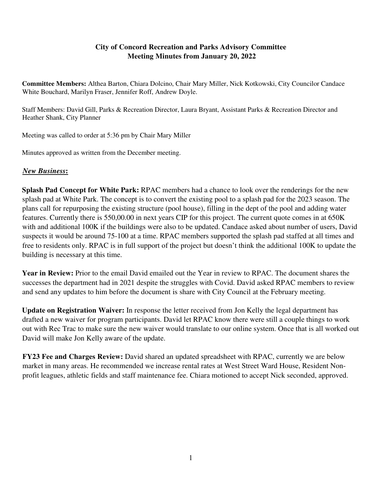## **City of Concord Recreation and Parks Advisory Committee Meeting Minutes from January 20, 2022**

**Committee Members:** Althea Barton, Chiara Dolcino, Chair Mary Miller, Nick Kotkowski, City Councilor Candace White Bouchard, Marilyn Fraser, Jennifer Roff, Andrew Doyle.

Staff Members: David Gill, Parks & Recreation Director, Laura Bryant, Assistant Parks & Recreation Director and Heather Shank, City Planner

Meeting was called to order at 5:36 pm by Chair Mary Miller

Minutes approved as written from the December meeting.

## *New Business***:**

**Splash Pad Concept for White Park:** RPAC members had a chance to look over the renderings for the new splash pad at White Park. The concept is to convert the existing pool to a splash pad for the 2023 season. The plans call for repurposing the existing structure (pool house), filling in the dept of the pool and adding water features. Currently there is 550,00.00 in next years CIP for this project. The current quote comes in at 650K with and additional 100K if the buildings were also to be updated. Candace asked about number of users, David suspects it would be around 75-100 at a time. RPAC members supported the splash pad staffed at all times and free to residents only. RPAC is in full support of the project but doesn't think the additional 100K to update the building is necessary at this time.

**Year in Review:** Prior to the email David emailed out the Year in review to RPAC. The document shares the successes the department had in 2021 despite the struggles with Covid. David asked RPAC members to review and send any updates to him before the document is share with City Council at the February meeting.

**Update on Registration Waiver:** In response the letter received from Jon Kelly the legal department has drafted a new waiver for program participants. David let RPAC know there were still a couple things to work out with Rec Trac to make sure the new waiver would translate to our online system. Once that is all worked out David will make Jon Kelly aware of the update.

**FY23 Fee and Charges Review:** David shared an updated spreadsheet with RPAC, currently we are below market in many areas. He recommended we increase rental rates at West Street Ward House, Resident Nonprofit leagues, athletic fields and staff maintenance fee. Chiara motioned to accept Nick seconded, approved.